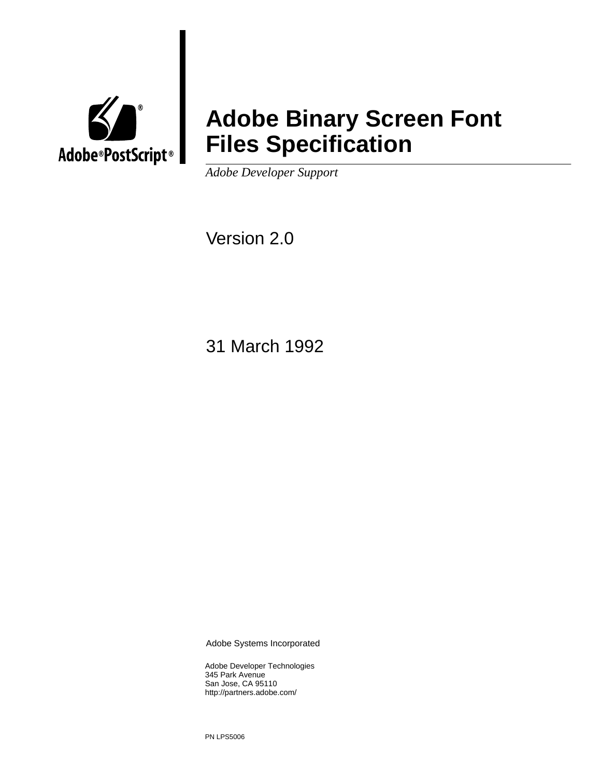

# **Adobe Binary Screen Font Files Specification**

*Adobe Developer Support* 

Version 2.0

31 March 1992

Adobe Systems Incorporated

Adobe Developer Technologies 345 Park Avenue San Jose, CA 95110 http://partners.adobe.com/

PN LPS5006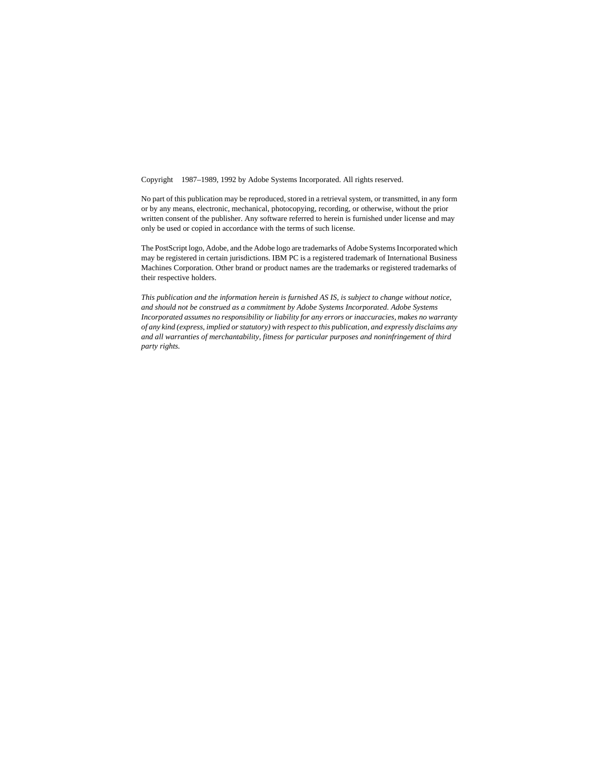Copyright 1987–1989, 1992 by Adobe Systems Incorporated. All rights reserved.

No part of this publication may be reproduced, stored in a retrieval system, or transmitted, in any form or by any means, electronic, mechanical, photocopying, recording, or otherwise, without the prior written consent of the publisher. Any software referred to herein is furnished under license and may only be used or copied in accordance with the terms of such license.

The PostScript logo, Adobe, and the Adobe logo are trademarks of Adobe Systems Incorporated which may be registered in certain jurisdictions. IBM PC is a registered trademark of International Business Machines Corporation. Other brand or product names are the trademarks or registered trademarks of their respective holders.

*This publication and the information herein is furnished AS IS, is subject to change without notice, and should not be construed as a commitment by Adobe Systems Incorporated. Adobe Systems Incorporated assumes no responsibility or liability for any errors or inaccuracies, makes no warranty of any kind (express, implied or statutory) with respect to this publication, and expressly disclaims any and all warranties of merchantability, fitness for particular purposes and noninfringement of third party rights.*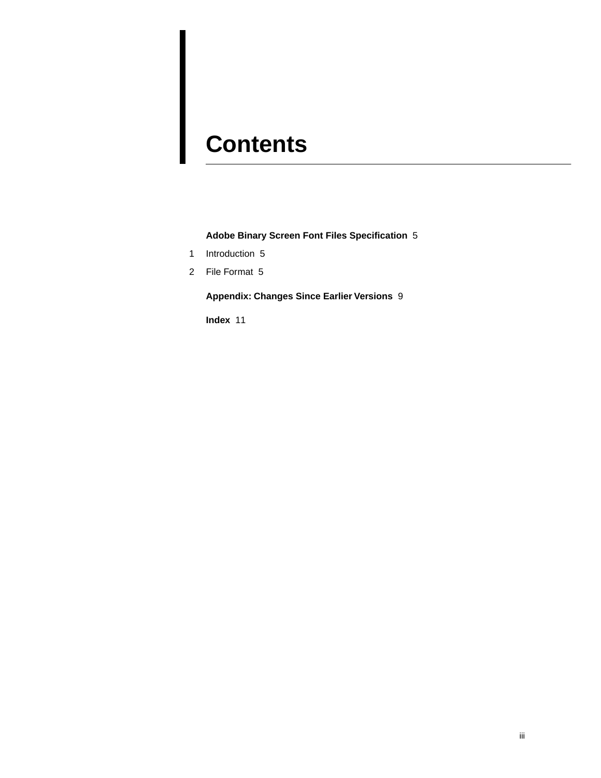# **Contents**

#### **[Adobe Binary Screen Font Files Specification](#page-4-0)** 5

- [1 Introduction 5](#page-4-1)
- [2 File Format 5](#page-4-2)

#### **[Appendix: Changes Since Earlier Versions](#page-8-0)** 9

**[Index](#page-10-0)** 11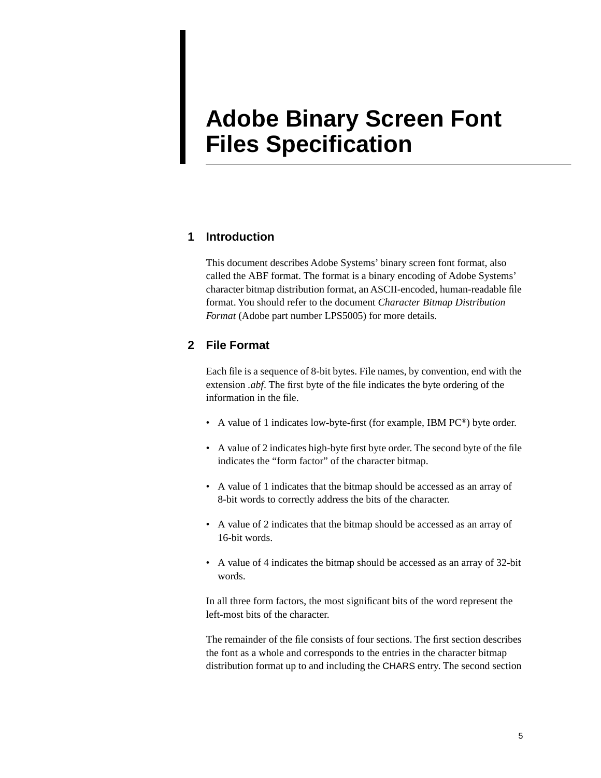## <span id="page-4-0"></span>**Adobe Binary Screen Font Files Specification**

#### <span id="page-4-1"></span>**1 Introduction**

This document describes Adobe Systems' binary screen font format, also called the ABF format. The format is a binary encoding of Adobe Systems' character bitmap distribution format, an ASCII-encoded, human-readable file format. You should refer to the document *Character Bitmap Distribution Format* (Adobe part number LPS5005) for more details.

#### <span id="page-4-2"></span>**2 File Format**

Each file is a sequence of 8-bit bytes. File names, by convention, end with the extension *.abf*. The first byte of the file indicates the byte ordering of the information in the file.

- A value of 1 indicates low-byte-first (for example, IBM PC®) byte order.
- A value of 2 indicates high-byte first byte order. The second byte of the file indicates the "form factor" of the character bitmap.
- A value of 1 indicates that the bitmap should be accessed as an array of 8-bit words to correctly address the bits of the character.
- A value of 2 indicates that the bitmap should be accessed as an array of 16-bit words.
- A value of 4 indicates the bitmap should be accessed as an array of 32-bit words.

In all three form factors, the most significant bits of the word represent the left-most bits of the character.

The remainder of the file consists of four sections. The first section describes the font as a whole and corresponds to the entries in the character bitmap distribution format up to and including the CHARS entry. The second section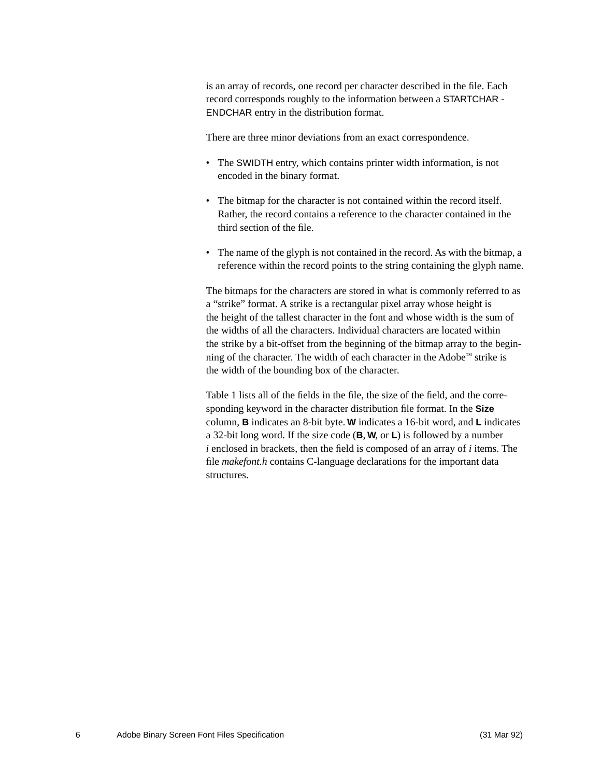is an array of records, one record per character described in the file. Each record corresponds roughly to the information between a STARTCHAR - ENDCHAR entry in the distribution format.

There are three minor deviations from an exact correspondence.

- The SWIDTH entry, which contains printer width information, is not encoded in the binary format.
- The bitmap for the character is not contained within the record itself. Rather, the record contains a reference to the character contained in the third section of the file.
- The name of the glyph is not contained in the record. As with the bitmap, a reference within the record points to the string containing the glyph name.

The bitmaps for the characters are stored in what is commonly referred to as a "strike" format. A strike is a rectangular pixel array whose height is the height of the tallest character in the font and whose width is the sum of the widths of all the characters. Individual characters are located within the strike by a bit-offset from the beginning of the bitmap array to the beginning of the character. The width of each character in the Adobe™ strike is the width of the bounding box of the character.

[Table 1](#page-6-0) lists all of the fields in the file, the size of the field, and the corresponding keyword in the character distribution file format. In the **Size** column, **B** indicates an 8-bit byte. **W** indicates a 16-bit word, and **L** indicates a 32-bit long word. If the size code (**B**, **W**, or **L**) is followed by a number *i* enclosed in brackets, then the field is composed of an array of *i* items. The file *makefont.h* contains C-language declarations for the important data structures.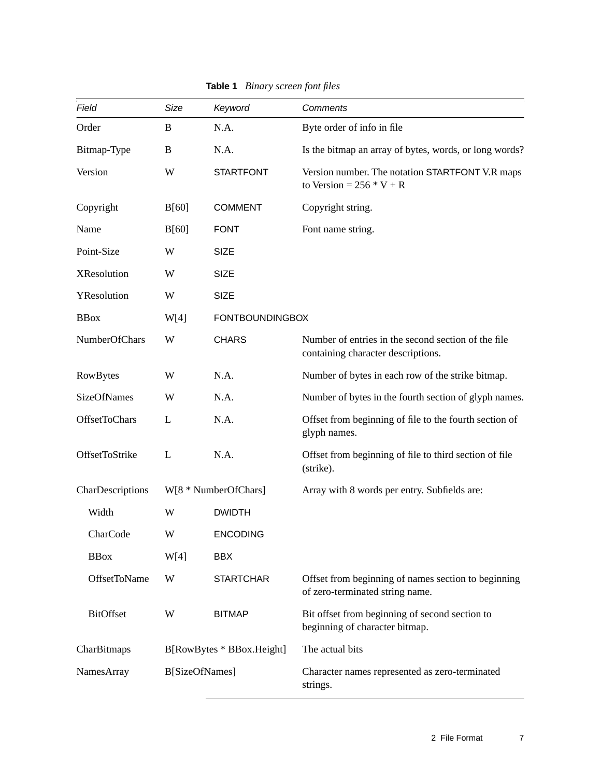<span id="page-6-0"></span>

| Field               | Size                      | Keyword                | Comments                                                                                  |  |
|---------------------|---------------------------|------------------------|-------------------------------------------------------------------------------------------|--|
| Order               | B                         | N.A.                   | Byte order of info in file                                                                |  |
| Bitmap-Type         | B                         | N.A.                   | Is the bitmap an array of bytes, words, or long words?                                    |  |
| Version             | W                         | <b>STARTFONT</b>       | Version number. The notation STARTFONT V.R maps<br>to Version = $256 * V + R$             |  |
| Copyright           | B[60]                     | <b>COMMENT</b>         | Copyright string.                                                                         |  |
| Name                | B[60]                     | <b>FONT</b>            | Font name string.                                                                         |  |
| Point-Size          | W                         | <b>SIZE</b>            |                                                                                           |  |
| <b>XResolution</b>  | W                         | <b>SIZE</b>            |                                                                                           |  |
| YResolution         | W                         | <b>SIZE</b>            |                                                                                           |  |
| <b>BBox</b>         | W[4]                      | <b>FONTBOUNDINGBOX</b> |                                                                                           |  |
| NumberOfChars       | W                         | <b>CHARS</b>           | Number of entries in the second section of the file<br>containing character descriptions. |  |
| RowBytes            | W                         | N.A.                   | Number of bytes in each row of the strike bitmap.                                         |  |
| <b>SizeOfNames</b>  | W                         | N.A.                   | Number of bytes in the fourth section of glyph names.                                     |  |
| OffsetToChars       | L                         | N.A.                   | Offset from beginning of file to the fourth section of<br>glyph names.                    |  |
| OffsetToStrike      | L                         | N.A.                   | Offset from beginning of file to third section of file<br>(strike).                       |  |
| CharDescriptions    | W[8 * NumberOfChars]      |                        | Array with 8 words per entry. Subfields are:                                              |  |
| Width               | W                         | <b>DWIDTH</b>          |                                                                                           |  |
| CharCode            | W                         | <b>ENCODING</b>        |                                                                                           |  |
| <b>BBox</b>         | W[4]                      | <b>BBX</b>             |                                                                                           |  |
| <b>OffsetToName</b> | W                         | <b>STARTCHAR</b>       | Offset from beginning of names section to beginning<br>of zero-terminated string name.    |  |
| <b>BitOffset</b>    | W                         | <b>BITMAP</b>          | Bit offset from beginning of second section to<br>beginning of character bitmap.          |  |
| CharBitmaps         | B[RowBytes * BBox.Height] |                        | The actual bits                                                                           |  |
| NamesArray          | B[SizeOfNames]            |                        | Character names represented as zero-terminated<br>strings.                                |  |

**Table 1** *Binary screen font files*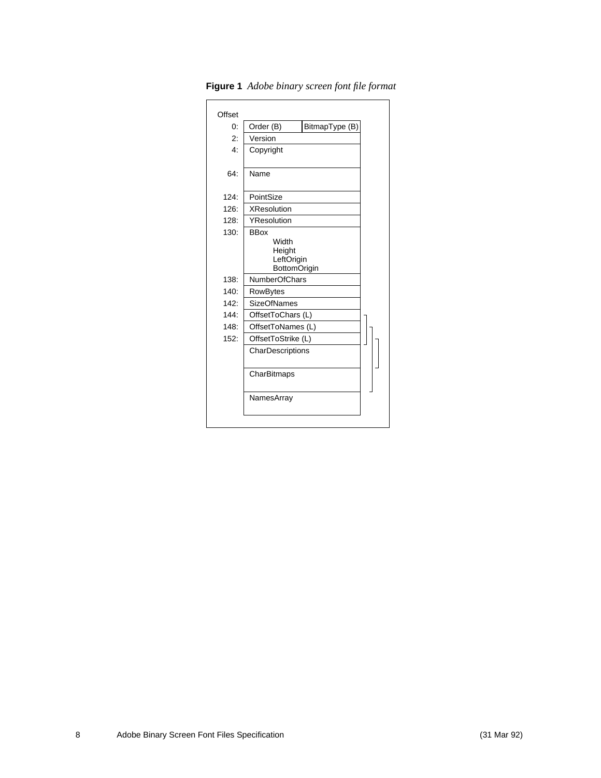| Offset      |                      |                |  |  |
|-------------|----------------------|----------------|--|--|
| 0:          | Order (B)            | BitmapType (B) |  |  |
| 2:          | Version              |                |  |  |
| $4^{\cdot}$ | Copyright            |                |  |  |
|             |                      |                |  |  |
| 64:         | Name                 |                |  |  |
|             |                      |                |  |  |
| 124:        | PointSize            |                |  |  |
| 126:        | <b>XResolution</b>   |                |  |  |
| 128:        | YResolution          |                |  |  |
| 130:        | <b>BBox</b>          |                |  |  |
|             | Width<br>Height      |                |  |  |
|             | LeftOrigin           |                |  |  |
|             | BottomOrigin         |                |  |  |
| 138:        | <b>NumberOfChars</b> |                |  |  |
| 140:        | RowBytes             |                |  |  |
| 142:        | <b>SizeOfNames</b>   |                |  |  |
| 144:        | OffsetToChars (L)    |                |  |  |
| 148:        | OffsetToNames (L)    |                |  |  |
| 152:        | OffsetToStrike (L)   |                |  |  |
|             | CharDescriptions     |                |  |  |
|             |                      |                |  |  |
|             | CharBitmaps          |                |  |  |
|             |                      |                |  |  |
|             | NamesArray           |                |  |  |
|             |                      |                |  |  |
|             |                      |                |  |  |

**Figure 1** *Adobe binary screen font file format*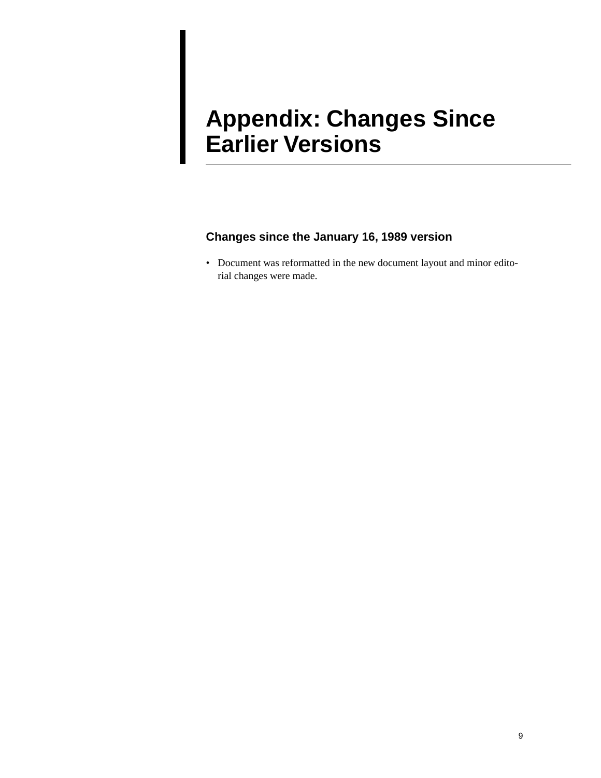# <span id="page-8-0"></span>**Appendix: Changes Since Earlier Versions**

#### **Changes since the January 16, 1989 version**

• Document was reformatted in the new document layout and minor editorial changes were made.